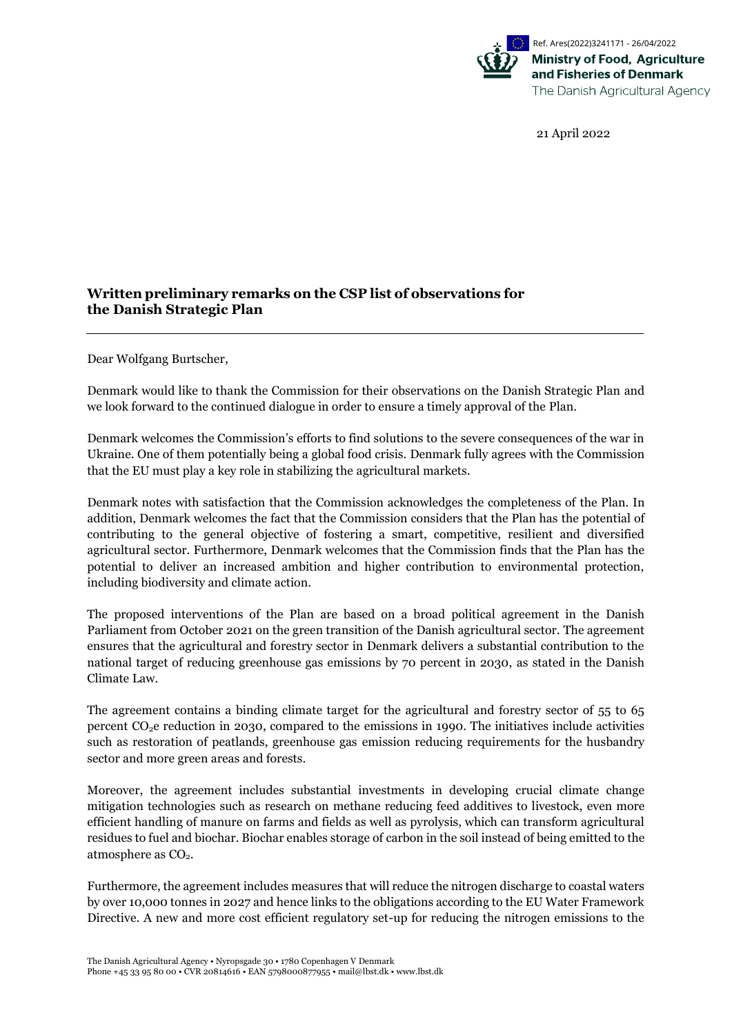

21 April 2022

## **Written preliminary remarks on the CSP list of observations for the Danish Strategic Plan**

Dear Wolfgang Burtscher,

Denmark would like to thank the Commission for their observations on the Danish Strategic Plan and we look forward to the continued dialogue in order to ensure a timely approval of the Plan.

Denmark welcomes the Commission's efforts to find solutions to the severe consequences of the war in Ukraine. One of them potentially being a global food crisis. Denmark fully agrees with the Commission that the EU must play a key role in stabilizing the agricultural markets.

Denmark notes with satisfaction that the Commission acknowledges the completeness of the Plan. In addition, Denmark welcomes the fact that the Commission considers that the Plan has the potential of contributing to the general objective of fostering a smart, competitive, resilient and diversified agricultural sector. Furthermore, Denmark welcomes that the Commission finds that the Plan has the potential to deliver an increased ambition and higher contribution to environmental protection, including biodiversity and climate action.

The proposed interventions of the Plan are based on a broad political agreement in the Danish Parliament from October 2021 on the green transition of the Danish agricultural sector. The agreement ensures that the agricultural and forestry sector in Denmark delivers a substantial contribution to the national target of reducing greenhouse gas emissions by 70 percent in 2030, as stated in the Danish Climate Law.

The agreement contains a binding climate target for the agricultural and forestry sector of 55 to 65 percent  $CO<sub>2</sub>e$  reduction in 2030, compared to the emissions in 1990. The initiatives include activities such as restoration of peatlands, greenhouse gas emission reducing requirements for the husbandry sector and more green areas and forests.

Moreover, the agreement includes substantial investments in developing crucial climate change mitigation technologies such as research on methane reducing feed additives to livestock, even more efficient handling of manure on farms and fields as well as pyrolysis, which can transform agricultural residues to fuel and biochar. Biochar enables storage of carbon in the soil instead of being emitted to the atmosphere as  $CO<sub>2</sub>$ .

Furthermore, the agreement includes measures that will reduce the nitrogen discharge to coastal waters by over 10,000 tonnes in 2027 and hence links to the obligations according to the EU Water Framework Directive. A new and more cost efficient regulatory set-up for reducing the nitrogen emissions to the